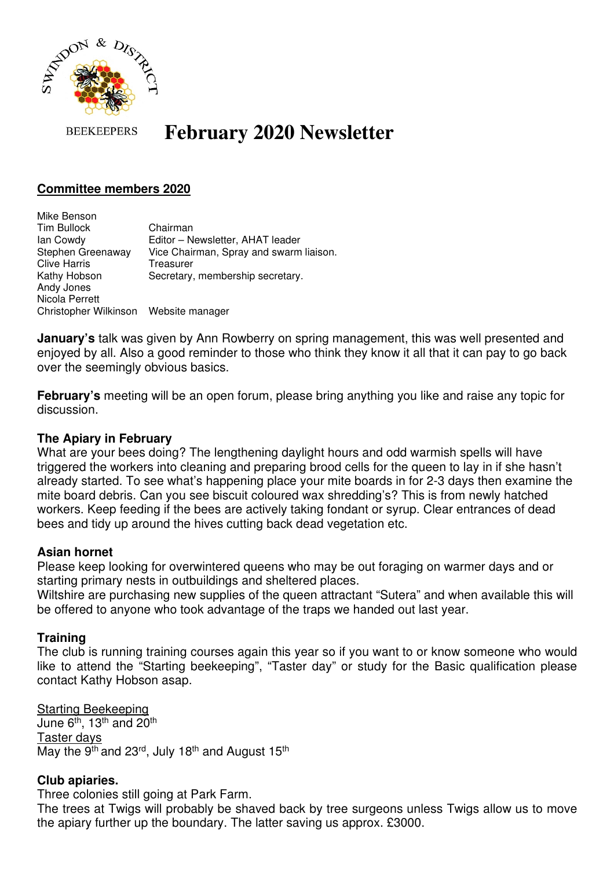

#### **BEEKEEPERS February 2020 Newsletter**

# **Committee members 2020**

Mike Benson Tim Bullock Chairman Ian Cowdy Editor – Newsletter, AHAT leader Stephen Greenaway Vice Chairman, Spray and swarm liaison. Clive Harris Treasurer Kathy Hobson Secretary, membership secretary. Andy Jones Nicola Perrett Christopher Wilkinson Website manager

**January's** talk was given by Ann Rowberry on spring management, this was well presented and enjoyed by all. Also a good reminder to those who think they know it all that it can pay to go back over the seemingly obvious basics.

**February's** meeting will be an open forum, please bring anything you like and raise any topic for discussion.

### **The Apiary in February**

What are your bees doing? The lengthening daylight hours and odd warmish spells will have triggered the workers into cleaning and preparing brood cells for the queen to lay in if she hasn't already started. To see what's happening place your mite boards in for 2-3 days then examine the mite board debris. Can you see biscuit coloured wax shredding's? This is from newly hatched workers. Keep feeding if the bees are actively taking fondant or syrup. Clear entrances of dead bees and tidy up around the hives cutting back dead vegetation etc.

### **Asian hornet**

Please keep looking for overwintered queens who may be out foraging on warmer days and or starting primary nests in outbuildings and sheltered places.

Wiltshire are purchasing new supplies of the queen attractant "Sutera" and when available this will be offered to anyone who took advantage of the traps we handed out last year.

### **Training**

The club is running training courses again this year so if you want to or know someone who would like to attend the "Starting beekeeping", "Taster day" or study for the Basic qualification please contact Kathy Hobson asap.

Starting Beekeeping June 6<sup>th</sup>, 13<sup>th</sup> and 20<sup>th</sup> Taster days May the 9<sup>th</sup> and 23<sup>rd</sup>, July 18<sup>th</sup> and August 15<sup>th</sup>

### **Club apiaries.**

Three colonies still going at Park Farm.

The trees at Twigs will probably be shaved back by tree surgeons unless Twigs allow us to move the apiary further up the boundary. The latter saving us approx. £3000.